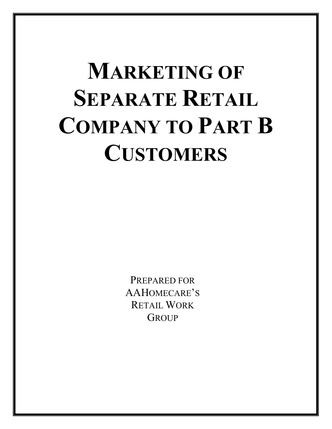# **MARKETING OF SEPARATE RETAIL COMPANY TO PART B CUSTOMERS**

PREPARED FOR AAHOMECARE'S RETAIL WORK **GROUP**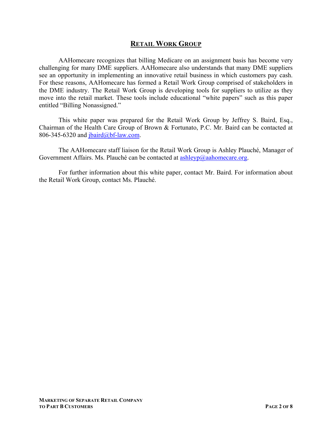## **RETAIL WORK GROUP**

AAHomecare recognizes that billing Medicare on an assignment basis has become very challenging for many DME suppliers. AAHomecare also understands that many DME suppliers see an opportunity in implementing an innovative retail business in which customers pay cash. For these reasons, AAHomecare has formed a Retail Work Group comprised of stakeholders in the DME industry. The Retail Work Group is developing tools for suppliers to utilize as they move into the retail market. These tools include educational "white papers" such as this paper entitled "Billing Nonassigned."

This white paper was prepared for the Retail Work Group by Jeffrey S. Baird, Esq., Chairman of the Health Care Group of Brown & Fortunato, P.C. Mr. Baird can be contacted at 806-345-6320 and  $\overline{\text{partial}(a)}$ bf-law.com.

The AAHomecare staff liaison for the Retail Work Group is Ashley Plauché, Manager of Government Affairs. Ms. Plauché can be contacted at  $\frac{\text{ashleyp}(a)\text{ashomecare.org}}{\text{ashomecare.org}}$ .

For further information about this white paper, contact Mr. Baird. For information about the Retail Work Group, contact Ms. Plauché.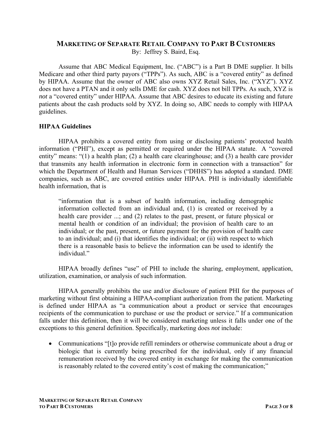#### **MARKETING OF SEPARATE RETAIL COMPANY TO PART B CUSTOMERS** By: Jeffrey S. Baird, Esq.

Assume that ABC Medical Equipment, Inc. ("ABC") is a Part B DME supplier. It bills Medicare and other third party payors ("TPPs"). As such, ABC is a "covered entity" as defined by HIPAA. Assume that the owner of ABC also owns XYZ Retail Sales, Inc. ("XYZ"). XYZ does not have a PTAN and it only sells DME for cash. XYZ does not bill TPPs. As such, XYZ is *not* a "covered entity" under HIPAA. Assume that ABC desires to educate its existing and future patients about the cash products sold by XYZ. In doing so, ABC needs to comply with HIPAA guidelines.

#### **HIPAA Guidelines**

HIPAA prohibits a covered entity from using or disclosing patients' protected health information ("PHI"), except as permitted or required under the HIPAA statute. A "covered entity" means: "(1) a health plan; (2) a health care clearinghouse; and (3) a health care provider that transmits any health information in electronic form in connection with a transaction" for which the Department of Health and Human Services ("DHHS") has adopted a standard. DME companies, such as ABC, are covered entities under HIPAA. PHI is individually identifiable health information, that is

"information that is a subset of health information, including demographic information collected from an individual and, (1) is created or received by a health care provider ...; and (2) relates to the past, present, or future physical or mental health or condition of an individual; the provision of health care to an individual; or the past, present, or future payment for the provision of health care to an individual; and (i) that identifies the individual; or (ii) with respect to which there is a reasonable basis to believe the information can be used to identify the individual."

HIPAA broadly defines "use" of PHI to include the sharing, employment, application, utilization, examination, or analysis of such information.

HIPAA generally prohibits the use and/or disclosure of patient PHI for the purposes of marketing without first obtaining a HIPAA-compliant authorization from the patient. Marketing is defined under HIPAA as "a communication about a product or service that encourages recipients of the communication to purchase or use the product or service." If a communication falls under this definition, then it will be considered marketing unless it falls under one of the exceptions to this general definition. Specifically, marketing does *not* include:

 Communications "[t]o provide refill reminders or otherwise communicate about a drug or biologic that is currently being prescribed for the individual, only if any financial remuneration received by the covered entity in exchange for making the communication is reasonably related to the covered entity's cost of making the communication;"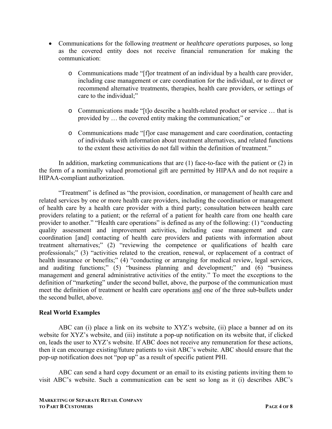- Communications for the following *treatment* or *healthcare operations* purposes, so long as the covered entity does not receive financial remuneration for making the communication:
	- o Communications made "[f]or treatment of an individual by a health care provider, including case management or care coordination for the individual, or to direct or recommend alternative treatments, therapies, health care providers, or settings of care to the individual;"
	- o Communications made "[t]o describe a health-related product or service … that is provided by … the covered entity making the communication;" or
	- o Communications made "[f]or case management and care coordination, contacting of individuals with information about treatment alternatives, and related functions to the extent these activities do not fall within the definition of treatment."

In addition, marketing communications that are (1) face-to-face with the patient or (2) in the form of a nominally valued promotional gift are permitted by HIPAA and do not require a HIPAA-compliant authorization.

"Treatment" is defined as "the provision, coordination, or management of health care and related services by one or more health care providers, including the coordination or management of health care by a health care provider with a third party; consultation between health care providers relating to a patient; or the referral of a patient for health care from one health care provider to another." "Health care operations" is defined as any of the following: (1) "conducting quality assessment and improvement activities, including case management and care coordination [and] contacting of health care providers and patients with information about treatment alternatives;" (2) "reviewing the competence or qualifications of health care professionals;" (3) "activities related to the creation, renewal, or replacement of a contract of health insurance or benefits;" (4) "conducting or arranging for medical review, legal services, and auditing functions;" (5) "business planning and development;" and (6) "business management and general administrative activities of the entity." To meet the exceptions to the definition of "marketing" under the second bullet, above, the purpose of the communication must meet the definition of treatment or health care operations and one of the three sub-bullets under the second bullet, above.

### **Real World Examples**

ABC can (i) place a link on its website to XYZ's website, (ii) place a banner ad on its website for XYZ's website, and (iii) institute a pop-up notification on its website that, if clicked on, leads the user to XYZ's website. If ABC does not receive any remuneration for these actions, then it can encourage existing/future patients to visit ABC's website. ABC should ensure that the pop-up notification does not "pop up" as a result of specific patient PHI.

ABC can send a hard copy document or an email to its existing patients inviting them to visit ABC's website. Such a communication can be sent so long as it (i) describes ABC's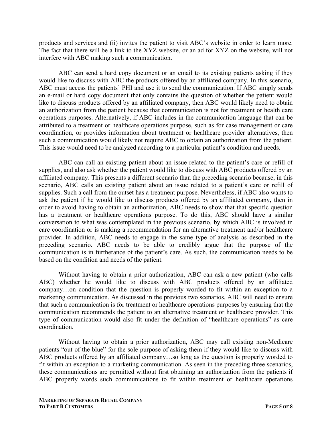products and services and (ii) invites the patient to visit ABC's website in order to learn more. The fact that there will be a link to the XYZ website, or an ad for XYZ on the website, will not interfere with ABC making such a communication.

ABC can send a hard copy document or an email to its existing patients asking if they would like to discuss with ABC the products offered by an affiliated company. In this scenario, ABC must access the patients' PHI and use it to send the communication. If ABC simply sends an e-mail or hard copy document that only contains the question of whether the patient would like to discuss products offered by an affiliated company, then ABC would likely need to obtain an authorization from the patient because that communication is not for treatment or health care operations purposes. Alternatively, if ABC includes in the communication language that can be attributed to a treatment or healthcare operations purpose, such as for case management or care coordination, or provides information about treatment or healthcare provider alternatives, then such a communication would likely not require ABC to obtain an authorization from the patient. This issue would need to be analyzed according to a particular patient's condition and needs.

ABC can call an existing patient about an issue related to the patient's care or refill of supplies, and also ask whether the patient would like to discuss with ABC products offered by an affiliated company. This presents a different scenario than the preceding scenario because, in this scenario, ABC calls an existing patient about an issue related to a patient's care or refill of supplies. Such a call from the outset has a treatment purpose. Nevertheless, if ABC also wants to ask the patient if he would like to discuss products offered by an affiliated company, then in order to avoid having to obtain an authorization, ABC needs to show that that specific question has a treatment or healthcare operations purpose. To do this, ABC should have a similar conversation to what was contemplated in the previous scenario, by which ABC is involved in care coordination or is making a recommendation for an alternative treatment and/or healthcare provider. In addition, ABC needs to engage in the same type of analysis as described in the preceding scenario. ABC needs to be able to credibly argue that the purpose of the communication is in furtherance of the patient's care. As such, the communication needs to be based on the condition and needs of the patient.

Without having to obtain a prior authorization, ABC can ask a new patient (who calls ABC) whether he would like to discuss with ABC products offered by an affiliated company…on condition that the question is properly worded to fit within an exception to a marketing communication. As discussed in the previous two scenarios, ABC will need to ensure that such a communication is for treatment or healthcare operations purposes by ensuring that the communication recommends the patient to an alternative treatment or healthcare provider. This type of communication would also fit under the definition of "healthcare operations" as care coordination.

Without having to obtain a prior authorization, ABC may call existing non-Medicare patients "out of the blue" for the sole purpose of asking them if they would like to discuss with ABC products offered by an affiliated company…so long as the question is properly worded to fit within an exception to a marketing communication. As seen in the preceding three scenarios, these communications are permitted without first obtaining an authorization from the patients if ABC properly words such communications to fit within treatment or healthcare operations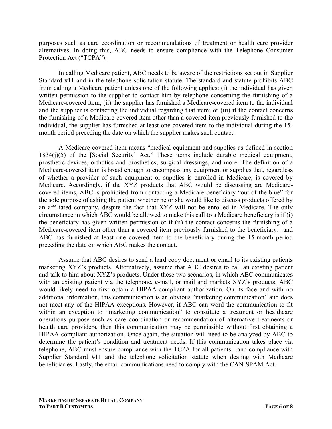purposes such as care coordination or recommendations of treatment or health care provider alternatives. In doing this, ABC needs to ensure compliance with the Telephone Consumer Protection Act ("TCPA").

In calling Medicare patient, ABC needs to be aware of the restrictions set out in Supplier Standard #11 and in the telephone solicitation statute. The standard and statute prohibits ABC from calling a Medicare patient unless one of the following applies: (i) the individual has given written permission to the supplier to contact him by telephone concerning the furnishing of a Medicare-covered item; (ii) the supplier has furnished a Medicare-covered item to the individual and the supplier is contacting the individual regarding that item; or (iii) if the contact concerns the furnishing of a Medicare-covered item other than a covered item previously furnished to the individual, the supplier has furnished at least one covered item to the individual during the 15 month period preceding the date on which the supplier makes such contact.

A Medicare-covered item means "medical equipment and supplies as defined in section 1834(j)(5) of the [Social Security] Act." These items include durable medical equipment, prosthetic devices, orthotics and prosthetics, surgical dressings, and more. The definition of a Medicare-covered item is broad enough to encompass any equipment or supplies that, regardless of whether a provider of such equipment or supplies is enrolled in Medicare, is covered by Medicare. Accordingly, if the XYZ products that ABC would be discussing are Medicarecovered items, ABC is prohibited from contacting a Medicare beneficiary "out of the blue" for the sole purpose of asking the patient whether he or she would like to discuss products offered by an affiliated company, despite the fact that XYZ will not be enrolled in Medicare. The only circumstance in which ABC would be allowed to make this call to a Medicare beneficiary is if (i) the beneficiary has given written permission or if (ii) the contact concerns the furnishing of a Medicare-covered item other than a covered item previously furnished to the beneficiary…and ABC has furnished at least one covered item to the beneficiary during the 15-month period preceding the date on which ABC makes the contact.

Assume that ABC desires to send a hard copy document or email to its existing patients marketing XYZ's products. Alternatively, assume that ABC desires to call an existing patient and talk to him about XYZ's products. Under these two scenarios, in which ABC communicates with an existing patient via the telephone, e-mail, or mail and markets XYZ's products, ABC would likely need to first obtain a HIPAA-compliant authorization. On its face and with no additional information, this communication is an obvious "marketing communication" and does not meet any of the HIPAA exceptions. However, if ABC can word the communication to fit within an exception to "marketing communication" to constitute a treatment or healthcare operations purpose such as care coordination or recommendation of alternative treatments or health care providers, then this communication may be permissible without first obtaining a HIPAA-compliant authorization. Once again, the situation will need to be analyzed by ABC to determine the patient's condition and treatment needs. If this communication takes place via telephone, ABC must ensure compliance with the TCPA for all patients…and compliance with Supplier Standard #11 and the telephone solicitation statute when dealing with Medicare beneficiaries. Lastly, the email communications need to comply with the CAN-SPAM Act.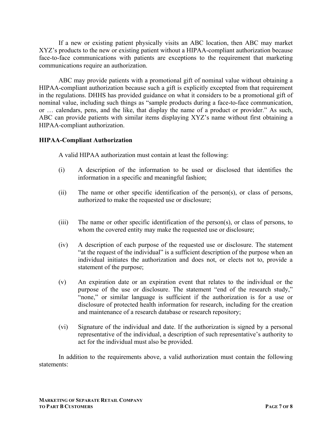If a new or existing patient physically visits an ABC location, then ABC may market XYZ's products to the new or existing patient without a HIPAA-compliant authorization because face-to-face communications with patients are exceptions to the requirement that marketing communications require an authorization.

ABC may provide patients with a promotional gift of nominal value without obtaining a HIPAA-compliant authorization because such a gift is explicitly excepted from that requirement in the regulations. DHHS has provided guidance on what it considers to be a promotional gift of nominal value, including such things as "sample products during a face-to-face communication, or … calendars, pens, and the like, that display the name of a product or provider." As such, ABC can provide patients with similar items displaying XYZ's name without first obtaining a HIPAA-compliant authorization.

#### **HIPAA-Compliant Authorization**

A valid HIPAA authorization must contain at least the following:

- (i) A description of the information to be used or disclosed that identifies the information in a specific and meaningful fashion;
- (ii) The name or other specific identification of the person(s), or class of persons, authorized to make the requested use or disclosure;
- (iii) The name or other specific identification of the person(s), or class of persons, to whom the covered entity may make the requested use or disclosure;
- (iv) A description of each purpose of the requested use or disclosure. The statement "at the request of the individual" is a sufficient description of the purpose when an individual initiates the authorization and does not, or elects not to, provide a statement of the purpose;
- (v) An expiration date or an expiration event that relates to the individual or the purpose of the use or disclosure. The statement "end of the research study," "none," or similar language is sufficient if the authorization is for a use or disclosure of protected health information for research, including for the creation and maintenance of a research database or research repository;
- (vi) Signature of the individual and date. If the authorization is signed by a personal representative of the individual, a description of such representative's authority to act for the individual must also be provided.

In addition to the requirements above, a valid authorization must contain the following statements: